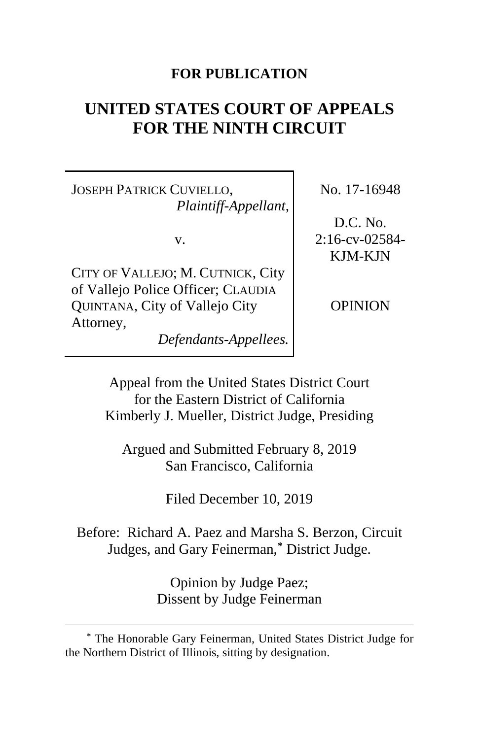# **FOR PUBLICATION**

# **UNITED STATES COURT OF APPEALS FOR THE NINTH CIRCUIT**

JOSEPH PATRICK CUVIELLO, *Plaintiff-Appellant*,

v.

CITY OF VALLEJO; M. CUTNICK, City of Vallejo Police Officer; CLAUDIA QUINTANA, City of Vallejo City Attorney,

*Defendants-Appellees.*

No. 17-16948

D.C. No. 2:16-cv-02584- KJM-KJN

OPINION

Appeal from the United States District Court for the Eastern District of California Kimberly J. Mueller, District Judge, Presiding

Argued and Submitted February 8, 2019 San Francisco, California

Filed December 10, 2019

Before: Richard A. Paez and Marsha S. Berzon, Circuit Judges, and Gary Feinerman, **[\\*](#page-0-0)** District Judge.

> Opinion by Judge Paez; Dissent by Judge Feinerman

<span id="page-0-0"></span>**<sup>\*</sup>** The Honorable Gary Feinerman, United States District Judge for the Northern District of Illinois, sitting by designation.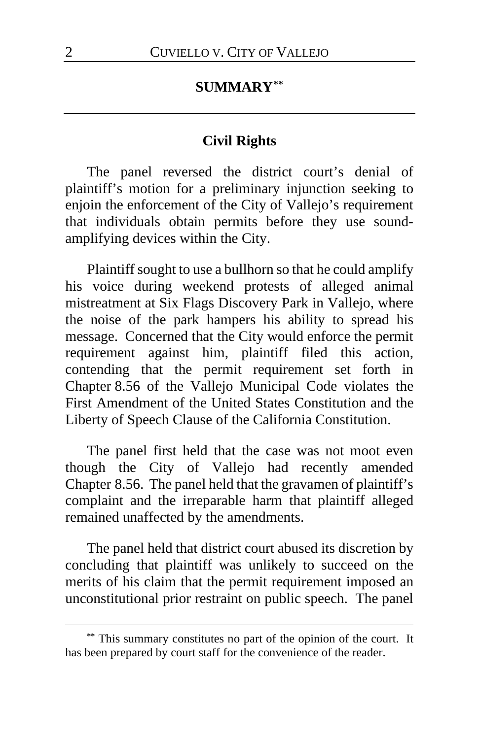# **SUMMARY[\\*\\*](#page-1-0)**

# **Civil Rights**

The panel reversed the district court's denial of plaintiff's motion for a preliminary injunction seeking to enjoin the enforcement of the City of Vallejo's requirement that individuals obtain permits before they use soundamplifying devices within the City.

Plaintiff sought to use a bullhorn so that he could amplify his voice during weekend protests of alleged animal mistreatment at Six Flags Discovery Park in Vallejo, where the noise of the park hampers his ability to spread his message. Concerned that the City would enforce the permit requirement against him, plaintiff filed this action, contending that the permit requirement set forth in Chapter 8.56 of the Vallejo Municipal Code violates the First Amendment of the United States Constitution and the Liberty of Speech Clause of the California Constitution.

The panel first held that the case was not moot even though the City of Vallejo had recently amended Chapter 8.56. The panel held that the gravamen of plaintiff's complaint and the irreparable harm that plaintiff alleged remained unaffected by the amendments.

The panel held that district court abused its discretion by concluding that plaintiff was unlikely to succeed on the merits of his claim that the permit requirement imposed an unconstitutional prior restraint on public speech. The panel

<span id="page-1-0"></span>**<sup>\*\*</sup>** This summary constitutes no part of the opinion of the court. It has been prepared by court staff for the convenience of the reader.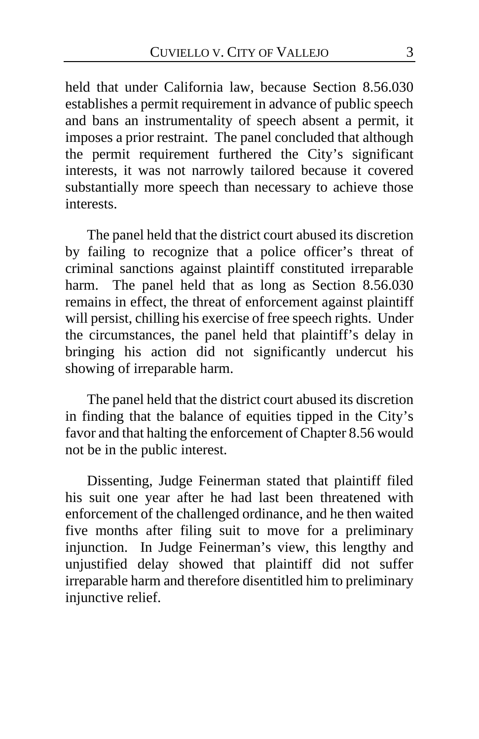held that under California law, because Section 8.56.030 establishes a permit requirement in advance of public speech and bans an instrumentality of speech absent a permit, it imposes a prior restraint. The panel concluded that although the permit requirement furthered the City's significant interests, it was not narrowly tailored because it covered substantially more speech than necessary to achieve those interests.

The panel held that the district court abused its discretion by failing to recognize that a police officer's threat of criminal sanctions against plaintiff constituted irreparable harm. The panel held that as long as Section 8.56.030 remains in effect, the threat of enforcement against plaintiff will persist, chilling his exercise of free speech rights. Under the circumstances, the panel held that plaintiff's delay in bringing his action did not significantly undercut his showing of irreparable harm.

The panel held that the district court abused its discretion in finding that the balance of equities tipped in the City's favor and that halting the enforcement of Chapter 8.56 would not be in the public interest.

Dissenting, Judge Feinerman stated that plaintiff filed his suit one year after he had last been threatened with enforcement of the challenged ordinance, and he then waited five months after filing suit to move for a preliminary injunction. In Judge Feinerman's view, this lengthy and unjustified delay showed that plaintiff did not suffer irreparable harm and therefore disentitled him to preliminary injunctive relief.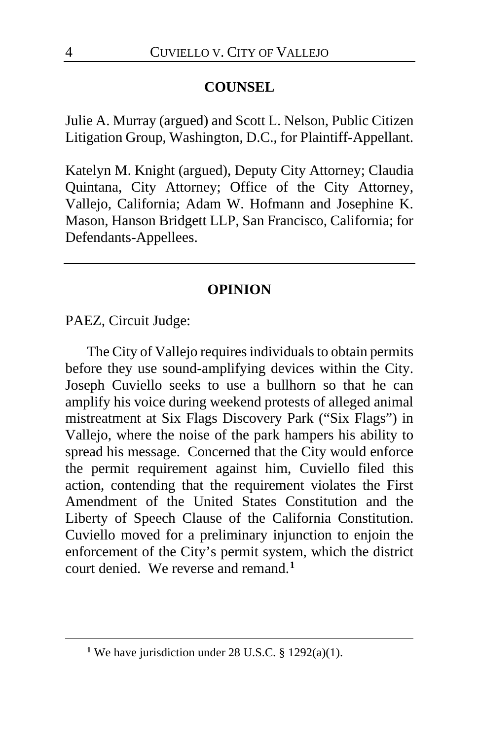# **COUNSEL**

Julie A. Murray (argued) and Scott L. Nelson, Public Citizen Litigation Group, Washington, D.C., for Plaintiff-Appellant.

Katelyn M. Knight (argued), Deputy City Attorney; Claudia Quintana, City Attorney; Office of the City Attorney, Vallejo, California; Adam W. Hofmann and Josephine K. Mason, Hanson Bridgett LLP, San Francisco, California; for Defendants-Appellees.

# **OPINION**

PAEZ, Circuit Judge:

The City of Vallejo requires individuals to obtain permits before they use sound-amplifying devices within the City. Joseph Cuviello seeks to use a bullhorn so that he can amplify his voice during weekend protests of alleged animal mistreatment at Six Flags Discovery Park ("Six Flags") in Vallejo, where the noise of the park hampers his ability to spread his message. Concerned that the City would enforce the permit requirement against him, Cuviello filed this action, contending that the requirement violates the First Amendment of the United States Constitution and the Liberty of Speech Clause of the California Constitution. Cuviello moved for a preliminary injunction to enjoin the enforcement of the City's permit system, which the district court denied. We reverse and remand.**[1](#page-3-0)**

<span id="page-3-0"></span><sup>&</sup>lt;sup>1</sup> We have jurisdiction under 28 U.S.C.  $\S$  1292(a)(1).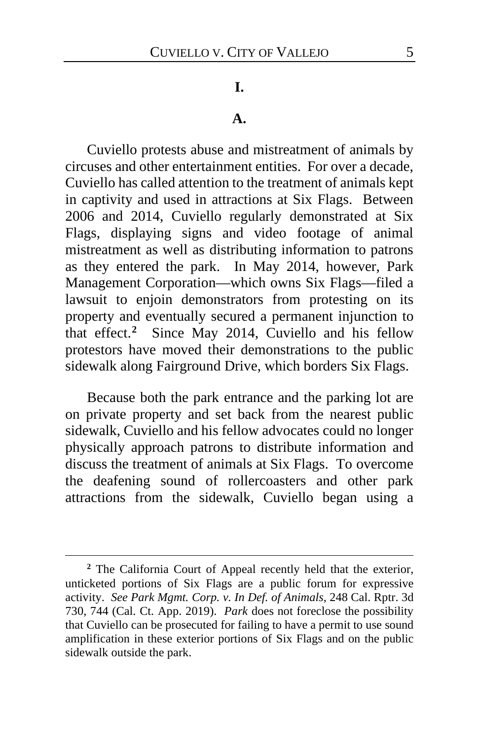#### **I.**

#### **A.**

Cuviello protests abuse and mistreatment of animals by circuses and other entertainment entities.For over a decade, Cuviello has called attention to the treatment of animals kept in captivity and used in attractions at Six Flags. Between 2006 and 2014, Cuviello regularly demonstrated at Six Flags, displaying signs and video footage of animal mistreatment as well as distributing information to patrons as they entered the park.In May 2014, however, Park Management Corporation—which owns Six Flags—filed a lawsuit to enjoin demonstrators from protesting on its property and eventually secured a permanent injunction to that effect.**[2](#page-4-0)** Since May 2014, Cuviello and his fellow protestors have moved their demonstrations to the public sidewalk along Fairground Drive, which borders Six Flags.

Because both the park entrance and the parking lot are on private property and set back from the nearest public sidewalk, Cuviello and his fellow advocates could no longer physically approach patrons to distribute information and discuss the treatment of animals at Six Flags.To overcome the deafening sound of rollercoasters and other park attractions from the sidewalk, Cuviello began using a

<span id="page-4-0"></span>**<sup>2</sup>** The California Court of Appeal recently held that the exterior, unticketed portions of Six Flags are a public forum for expressive activity. *See Park Mgmt. Corp. v. In Def. of Animals*, 248 Cal. Rptr. 3d 730, 744 (Cal. Ct. App. 2019). *Park* does not foreclose the possibility that Cuviello can be prosecuted for failing to have a permit to use sound amplification in these exterior portions of Six Flags and on the public sidewalk outside the park.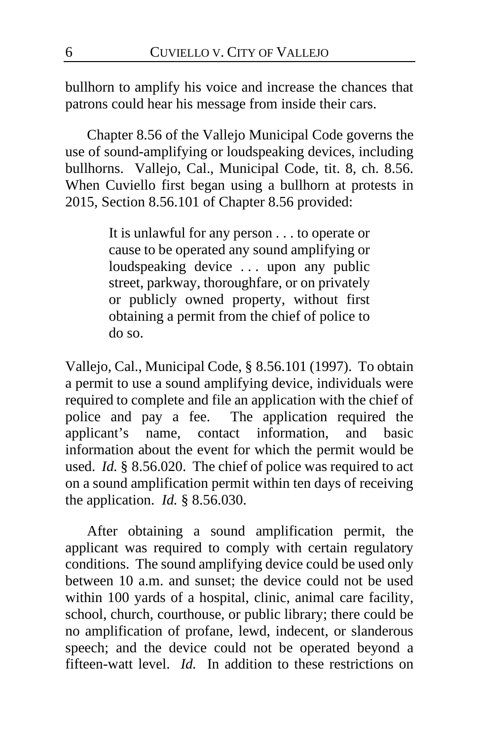bullhorn to amplify his voice and increase the chances that patrons could hear his message from inside their cars.

Chapter 8.56 of the Vallejo Municipal Code governs the use of sound-amplifying or loudspeaking devices, including bullhorns. Vallejo, Cal., Municipal Code, tit. 8, ch. 8.56. When Cuviello first began using a bullhorn at protests in 2015, Section 8.56.101 of Chapter 8.56 provided:

> It is unlawful for any person . . . to operate or cause to be operated any sound amplifying or loudspeaking device ... upon any public street, parkway, thoroughfare, or on privately or publicly owned property, without first obtaining a permit from the chief of police to do so.

Vallejo, Cal., Municipal Code, § 8.56.101 (1997). To obtain a permit to use a sound amplifying device, individuals were required to complete and file an application with the chief of police and pay a fee. The application required the applicant's name, contact information, and basic information about the event for which the permit would be used. *Id.* § 8.56.020.The chief of police was required to act on a sound amplification permit within ten days of receiving the application. *Id.* § 8.56.030.

After obtaining a sound amplification permit, the applicant was required to comply with certain regulatory conditions. The sound amplifying device could be used only between 10 a.m. and sunset; the device could not be used within 100 yards of a hospital, clinic, animal care facility, school, church, courthouse, or public library; there could be no amplification of profane, lewd, indecent, or slanderous speech; and the device could not be operated beyond a fifteen-watt level. *Id.*In addition to these restrictions on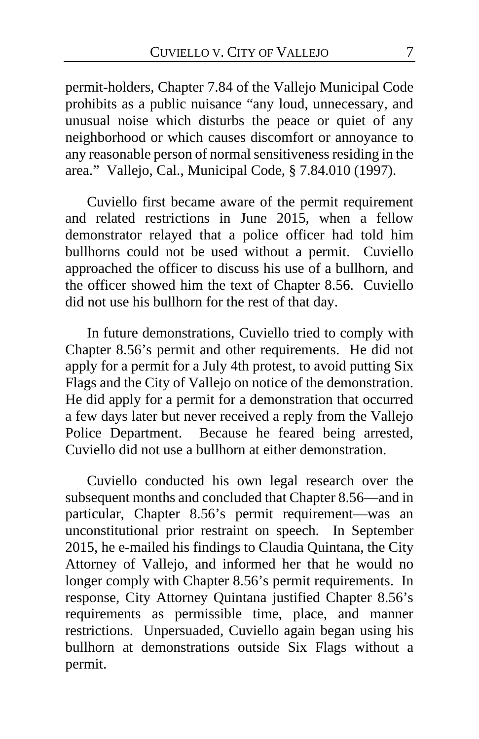permit-holders, Chapter 7.84 of the Vallejo Municipal Code prohibits as a public nuisance "any loud, unnecessary, and unusual noise which disturbs the peace or quiet of any neighborhood or which causes discomfort or annoyance to any reasonable person of normal sensitiveness residing in the area." Vallejo, Cal., Municipal Code, § 7.84.010 (1997).

Cuviello first became aware of the permit requirement and related restrictions in June 2015, when a fellow demonstrator relayed that a police officer had told him bullhorns could not be used without a permit.Cuviello approached the officer to discuss his use of a bullhorn, and the officer showed him the text of Chapter 8.56.Cuviello did not use his bullhorn for the rest of that day.

In future demonstrations, Cuviello tried to comply with Chapter 8.56's permit and other requirements. He did not apply for a permit for a July 4th protest, to avoid putting Six Flags and the City of Vallejo on notice of the demonstration. He did apply for a permit for a demonstration that occurred a few days later but never received a reply from the Vallejo Police Department. Because he feared being arrested, Cuviello did not use a bullhorn at either demonstration.

Cuviello conducted his own legal research over the subsequent months and concluded that Chapter 8.56—and in particular, Chapter 8.56's permit requirement—was an unconstitutional prior restraint on speech. In September 2015, he e-mailed his findings to Claudia Quintana, the City Attorney of Vallejo, and informed her that he would no longer comply with Chapter 8.56's permit requirements. In response, City Attorney Quintana justified Chapter 8.56's requirements as permissible time, place, and manner restrictions. Unpersuaded, Cuviello again began using his bullhorn at demonstrations outside Six Flags without a permit.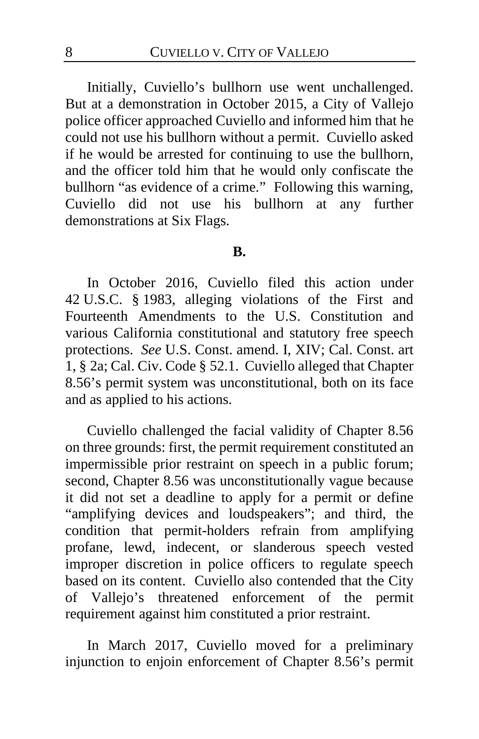Initially, Cuviello's bullhorn use went unchallenged. But at a demonstration in October 2015, a City of Vallejo police officer approached Cuviello and informed him that he could not use his bullhorn without a permit. Cuviello asked if he would be arrested for continuing to use the bullhorn, and the officer told him that he would only confiscate the bullhorn "as evidence of a crime." Following this warning, Cuviello did not use his bullhorn at any further demonstrations at Six Flags.

#### **B.**

In October 2016, Cuviello filed this action under 42 U.S.C. § 1983, alleging violations of the First and Fourteenth Amendments to the U.S. Constitution and various California constitutional and statutory free speech protections. *See* U.S. Const. amend. I, XIV; Cal. Const. art 1, § 2a; Cal. Civ. Code § 52.1. Cuviello alleged that Chapter 8.56's permit system was unconstitutional, both on its face and as applied to his actions.

Cuviello challenged the facial validity of Chapter 8.56 on three grounds: first, the permit requirement constituted an impermissible prior restraint on speech in a public forum; second, Chapter 8.56 was unconstitutionally vague because it did not set a deadline to apply for a permit or define "amplifying devices and loudspeakers"; and third, the condition that permit-holders refrain from amplifying profane, lewd, indecent, or slanderous speech vested improper discretion in police officers to regulate speech based on its content. Cuviello also contended that the City of Vallejo's threatened enforcement of the permit requirement against him constituted a prior restraint.

In March 2017, Cuviello moved for a preliminary injunction to enjoin enforcement of Chapter 8.56's permit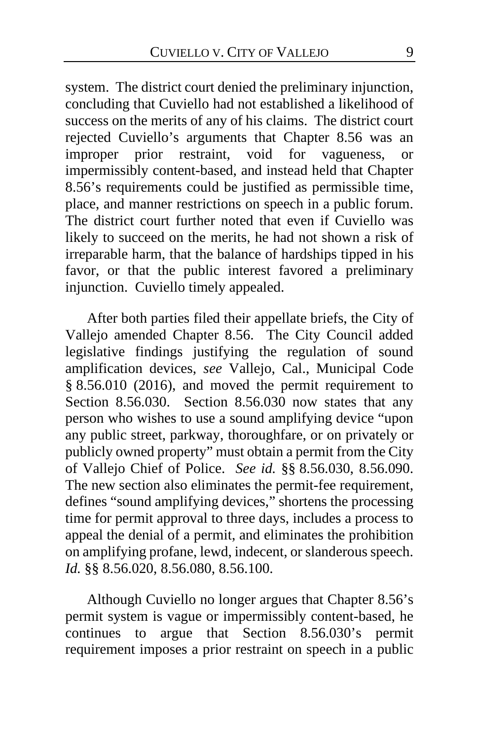system. The district court denied the preliminary injunction, concluding that Cuviello had not established a likelihood of success on the merits of any of his claims. The district court rejected Cuviello's arguments that Chapter 8.56 was an improper prior restraint, void for vagueness, or impermissibly content-based, and instead held that Chapter 8.56's requirements could be justified as permissible time, place, and manner restrictions on speech in a public forum. The district court further noted that even if Cuviello was likely to succeed on the merits, he had not shown a risk of irreparable harm, that the balance of hardships tipped in his favor, or that the public interest favored a preliminary injunction. Cuviello timely appealed.

After both parties filed their appellate briefs, the City of Vallejo amended Chapter 8.56. The City Council added legislative findings justifying the regulation of sound amplification devices, *see* Vallejo, Cal., Municipal Code § 8.56.010 (2016), and moved the permit requirement to Section 8.56.030. Section 8.56.030 now states that any person who wishes to use a sound amplifying device "upon any public street, parkway, thoroughfare, or on privately or publicly owned property" must obtain a permit from the City of Vallejo Chief of Police. *See id.* §§ 8.56.030, 8.56.090. The new section also eliminates the permit-fee requirement, defines "sound amplifying devices," shortens the processing time for permit approval to three days, includes a process to appeal the denial of a permit, and eliminates the prohibition on amplifying profane, lewd, indecent, or slanderous speech. *Id.* §§ 8.56.020, 8.56.080, 8.56.100.

Although Cuviello no longer argues that Chapter 8.56's permit system is vague or impermissibly content-based, he continues to argue that Section 8.56.030's permit requirement imposes a prior restraint on speech in a public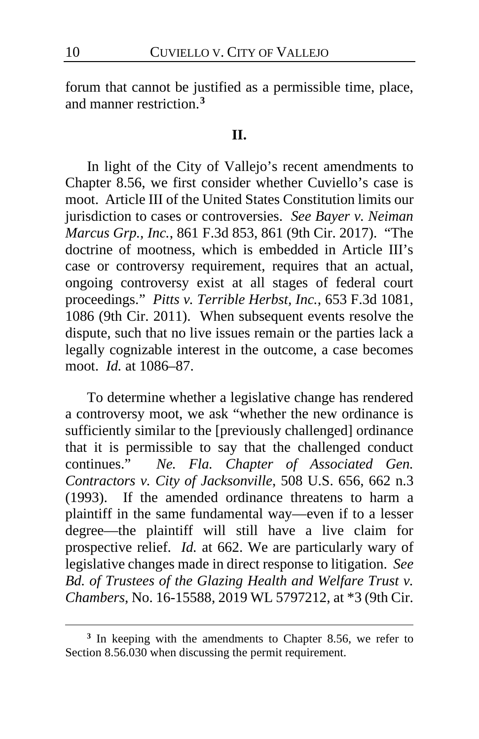forum that cannot be justified as a permissible time, place, and manner restriction.**[3](#page-9-0)**

# **II.**

In light of the City of Vallejo's recent amendments to Chapter 8.56, we first consider whether Cuviello's case is moot. Article III of the United States Constitution limits our jurisdiction to cases or controversies. *See Bayer v. Neiman Marcus Grp., Inc.*, 861 F.3d 853, 861 (9th Cir. 2017). "The doctrine of mootness, which is embedded in Article III's case or controversy requirement, requires that an actual, ongoing controversy exist at all stages of federal court proceedings." *Pitts v. Terrible Herbst, Inc.*, 653 F.3d 1081, 1086 (9th Cir. 2011). When subsequent events resolve the dispute, such that no live issues remain or the parties lack a legally cognizable interest in the outcome, a case becomes moot. *Id.* at 1086–87.

To determine whether a legislative change has rendered a controversy moot, we ask "whether the new ordinance is sufficiently similar to the [previously challenged] ordinance that it is permissible to say that the challenged conduct continues." *Ne. Fla. Chapter of Associated Gen. Contractors v. City of Jacksonville*, 508 U.S. 656, 662 n.3 (1993). If the amended ordinance threatens to harm a plaintiff in the same fundamental way—even if to a lesser degree—the plaintiff will still have a live claim for prospective relief. *Id.* at 662. We are particularly wary of legislative changes made in direct response to litigation. *See Bd. of Trustees of the Glazing Health and Welfare Trust v. Chambers*, No. 16-15588, 2019 WL 5797212, at \*3 (9th Cir.

<span id="page-9-0"></span>**<sup>3</sup>** In keeping with the amendments to Chapter 8.56, we refer to Section 8.56.030 when discussing the permit requirement.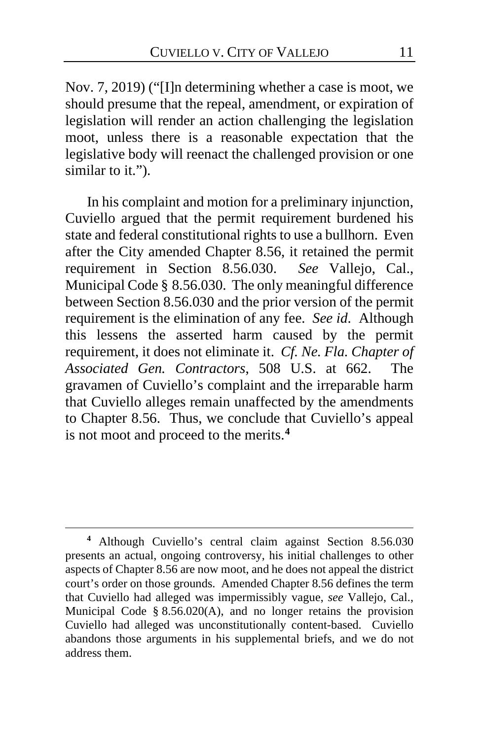Nov. 7, 2019) ("[I]n determining whether a case is moot, we should presume that the repeal, amendment, or expiration of legislation will render an action challenging the legislation moot, unless there is a reasonable expectation that the legislative body will reenact the challenged provision or one similar to it.").

In his complaint and motion for a preliminary injunction, Cuviello argued that the permit requirement burdened his state and federal constitutional rights to use a bullhorn. Even after the City amended Chapter 8.56, it retained the permit requirement in Section 8.56.030. *See* Vallejo, Cal., Municipal Code § 8.56.030. The only meaningful difference between Section 8.56.030 and the prior version of the permit requirement is the elimination of any fee. *See id*.Although this lessens the asserted harm caused by the permit requirement, it does not eliminate it. *Cf. Ne. Fla. Chapter of Associated Gen. Contractors*, 508 U.S. at 662. The gravamen of Cuviello's complaint and the irreparable harm that Cuviello alleges remain unaffected by the amendments to Chapter 8.56. Thus, we conclude that Cuviello's appeal is not moot and proceed to the merits.**[4](#page-10-0)**

<span id="page-10-0"></span>**<sup>4</sup>** Although Cuviello's central claim against Section 8.56.030 presents an actual, ongoing controversy, his initial challenges to other aspects of Chapter 8.56 are now moot, and he does not appeal the district court's order on those grounds. Amended Chapter 8.56 defines the term that Cuviello had alleged was impermissibly vague, *see* Vallejo, Cal., Municipal Code § 8.56.020(A), and no longer retains the provision Cuviello had alleged was unconstitutionally content-based. Cuviello abandons those arguments in his supplemental briefs, and we do not address them.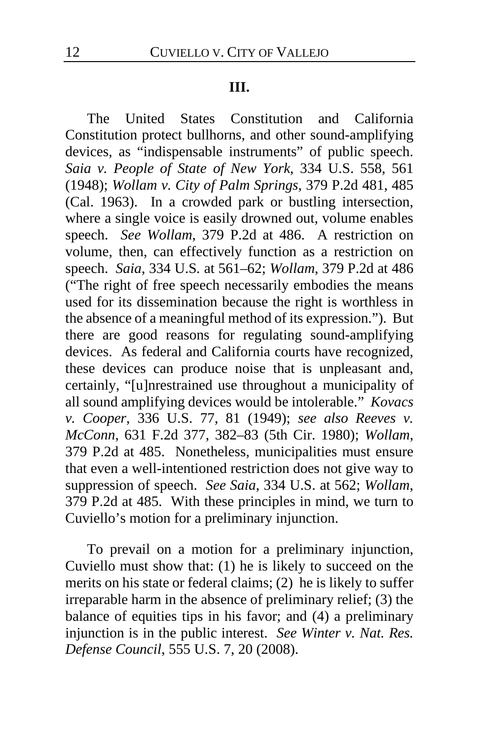#### **III.**

The United States Constitution and California Constitution protect bullhorns, and other sound-amplifying devices, as "indispensable instruments" of public speech. *Saia v. People of State of New York*, 334 U.S. 558, 561 (1948); *Wollam v. City of Palm Springs*, 379 P.2d 481, 485 (Cal. 1963). In a crowded park or bustling intersection, where a single voice is easily drowned out, volume enables speech. *See Wollam*, 379 P.2d at 486. A restriction on volume, then, can effectively function as a restriction on speech. *Saia*, 334 U.S*.* at 561–62; *Wollam*, 379 P.2d at 486 ("The right of free speech necessarily embodies the means used for its dissemination because the right is worthless in the absence of a meaningful method of its expression."). But there are good reasons for regulating sound-amplifying devices. As federal and California courts have recognized, these devices can produce noise that is unpleasant and, certainly, "[u]nrestrained use throughout a municipality of all sound amplifying devices would be intolerable." *Kovacs v. Cooper*, 336 U.S. 77, 81 (1949); *see also Reeves v. McConn*, 631 F.2d 377, 382–83 (5th Cir. 1980); *Wollam*, 379 P.2d at 485. Nonetheless, municipalities must ensure that even a well-intentioned restriction does not give way to suppression of speech. *See Saia*, 334 U.S. at 562; *Wollam*, 379 P.2d at 485. With these principles in mind, we turn to Cuviello's motion for a preliminary injunction.

To prevail on a motion for a preliminary injunction, Cuviello must show that: (1) he is likely to succeed on the merits on his state or federal claims; (2) he is likely to suffer irreparable harm in the absence of preliminary relief; (3) the balance of equities tips in his favor; and (4) a preliminary injunction is in the public interest. *See Winter v. Nat. Res. Defense Council*, 555 U.S. 7, 20 (2008).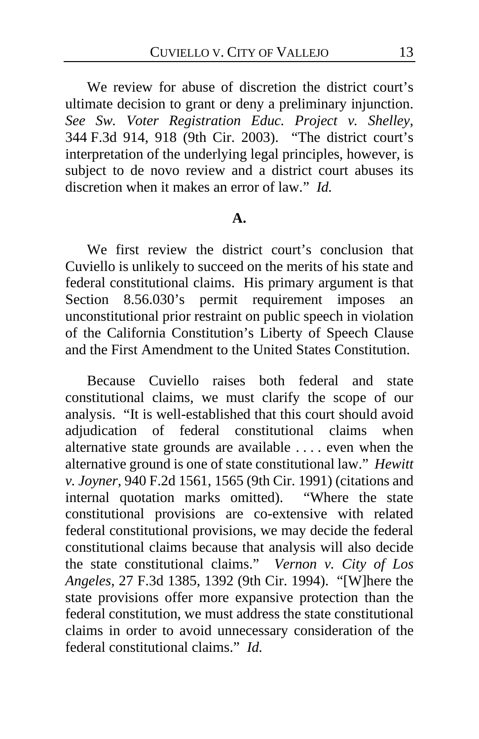We review for abuse of discretion the district court's ultimate decision to grant or deny a preliminary injunction. *See Sw. Voter Registration Educ. Project v. Shelley*, 344 F.3d 914, 918 (9th Cir. 2003). "The district court's interpretation of the underlying legal principles, however, is subject to de novo review and a district court abuses its discretion when it makes an error of law." *Id.*

#### **A.**

We first review the district court's conclusion that Cuviello is unlikely to succeed on the merits of his state and federal constitutional claims. His primary argument is that Section 8.56.030's permit requirement imposes an unconstitutional prior restraint on public speech in violation of the California Constitution's Liberty of Speech Clause and the First Amendment to the United States Constitution.

Because Cuviello raises both federal and state constitutional claims, we must clarify the scope of our analysis. "It is well-established that this court should avoid adjudication of federal constitutional claims when alternative state grounds are available . . . . even when the alternative ground is one of state constitutional law." *Hewitt v. Joyner*, 940 F.2d 1561, 1565 (9th Cir. 1991) (citations and internal quotation marks omitted). "Where the state constitutional provisions are co-extensive with related federal constitutional provisions, we may decide the federal constitutional claims because that analysis will also decide the state constitutional claims." *Vernon v. City of Los Angeles*, 27 F.3d 1385, 1392 (9th Cir. 1994). "[W]here the state provisions offer more expansive protection than the federal constitution, we must address the state constitutional claims in order to avoid unnecessary consideration of the federal constitutional claims." *Id.*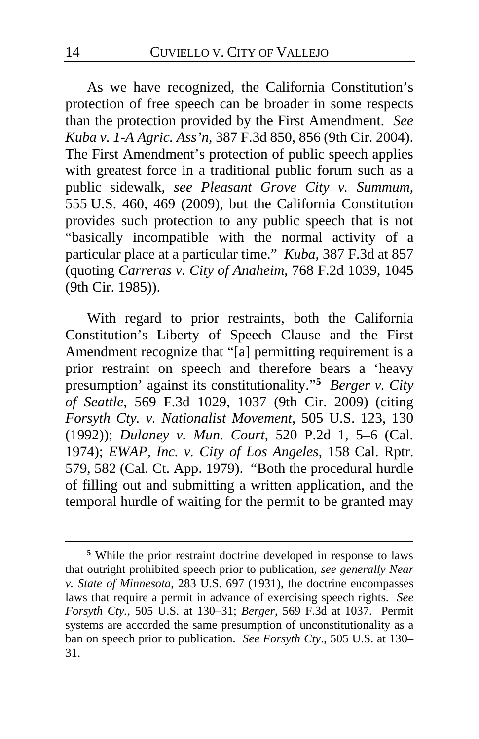As we have recognized, the California Constitution's protection of free speech can be broader in some respects than the protection provided by the First Amendment. *See Kuba v. 1-A Agric. Ass'n*, 387 F.3d 850, 856 (9th Cir. 2004). The First Amendment's protection of public speech applies with greatest force in a traditional public forum such as a public sidewalk, *see Pleasant Grove City v. Summum*, 555 U.S. 460, 469 (2009), but the California Constitution provides such protection to any public speech that is not "basically incompatible with the normal activity of a particular place at a particular time." *Kuba*, 387 F.3d at 857 (quoting *Carreras v. City of Anaheim*, 768 F.2d 1039, 1045 (9th Cir. 1985)).

With regard to prior restraints, both the California Constitution's Liberty of Speech Clause and the First Amendment recognize that "[a] permitting requirement is a prior restraint on speech and therefore bears a 'heavy presumption' against its constitutionality."**[5](#page-13-0)** *Berger v. City of Seattle*, 569 F.3d 1029, 1037 (9th Cir. 2009) (citing *Forsyth Cty. v. Nationalist Movement*, 505 U.S. 123, 130 (1992)); *Dulaney v. Mun. Court*, 520 P.2d 1, 5–6 (Cal. 1974); *EWAP, Inc. v. City of Los Angeles*, 158 Cal. Rptr. 579, 582 (Cal. Ct. App. 1979). "Both the procedural hurdle of filling out and submitting a written application, and the temporal hurdle of waiting for the permit to be granted may

<span id="page-13-0"></span>**<sup>5</sup>** While the prior restraint doctrine developed in response to laws that outright prohibited speech prior to publication, *see generally Near v. State of Minnesota*, 283 U.S. 697 (1931), the doctrine encompasses laws that require a permit in advance of exercising speech rights. *See Forsyth Cty.*, 505 U.S. at 130–31; *Berger*, 569 F.3d at 1037. Permit systems are accorded the same presumption of unconstitutionality as a ban on speech prior to publication. *See Forsyth Cty*., 505 U.S. at 130– 31.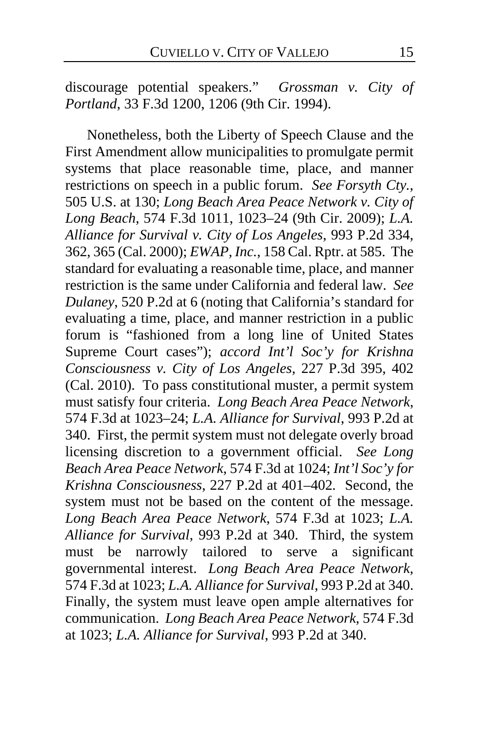discourage potential speakers." *Grossman v. City of Portland*, 33 F.3d 1200, 1206 (9th Cir. 1994).

Nonetheless, both the Liberty of Speech Clause and the First Amendment allow municipalities to promulgate permit systems that place reasonable time, place, and manner restrictions on speech in a public forum. *See Forsyth Cty.*, 505 U.S. at 130; *Long Beach Area Peace Network v. City of Long Beach*, 574 F.3d 1011, 1023–24 (9th Cir. 2009); *L.A. Alliance for Survival v. City of Los Angeles*, 993 P.2d 334, 362, 365 (Cal. 2000); *EWAP, Inc.*, 158 Cal. Rptr. at 585. The standard for evaluating a reasonable time, place, and manner restriction is the same under California and federal law. *See Dulaney*, 520 P.2d at 6 (noting that California's standard for evaluating a time, place, and manner restriction in a public forum is "fashioned from a long line of United States Supreme Court cases"); *accord Int'l Soc'y for Krishna Consciousness v. City of Los Angeles*, 227 P.3d 395, 402 (Cal. 2010). To pass constitutional muster, a permit system must satisfy four criteria. *Long Beach Area Peace Network*, 574 F.3d at 1023–24; *L.A. Alliance for Survival*, 993 P.2d at 340. First, the permit system must not delegate overly broad licensing discretion to a government official. *See Long Beach Area Peace Network*, 574 F.3d at 1024; *Int'l Soc'y for Krishna Consciousness*, 227 P.2d at 401–402*.* Second, the system must not be based on the content of the message. *Long Beach Area Peace Network*, 574 F.3d at 1023; *L.A. Alliance for Survival*, 993 P.2d at 340. Third, the system must be narrowly tailored to serve a significant governmental interest. *Long Beach Area Peace Network*, 574 F.3d at 1023; *L.A. Alliance for Survival*, 993 P.2d at 340. Finally, the system must leave open ample alternatives for communication. *Long Beach Area Peace Network*, 574 F.3d at 1023; *L.A. Alliance for Survival*, 993 P.2d at 340.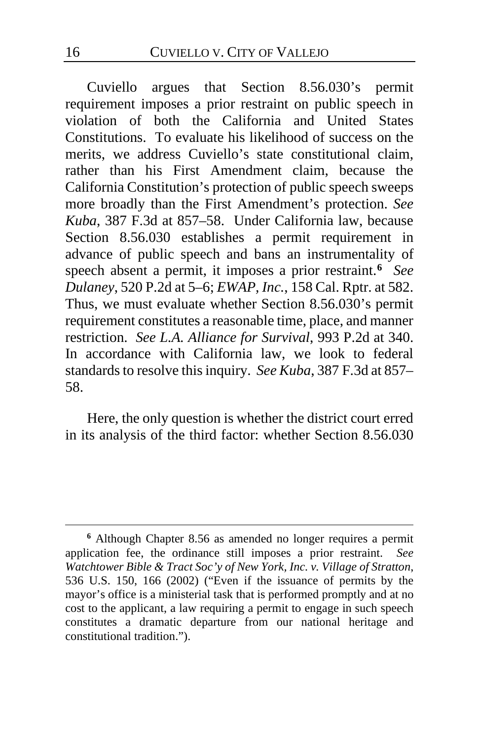Cuviello argues that Section 8.56.030's permit requirement imposes a prior restraint on public speech in violation of both the California and United States Constitutions. To evaluate his likelihood of success on the merits, we address Cuviello's state constitutional claim, rather than his First Amendment claim, because the California Constitution's protection of public speech sweeps more broadly than the First Amendment's protection. *See Kuba*, 387 F.3d at 857–58. Under California law, because Section 8.56.030 establishes a permit requirement in advance of public speech and bans an instrumentality of speech absent a permit, it imposes a prior restraint.**[6](#page-15-0)** *See Dulaney*, 520 P.2d at 5–6; *EWAP, Inc.*, 158 Cal. Rptr. at 582. Thus, we must evaluate whether Section 8.56.030's permit requirement constitutes a reasonable time, place, and manner restriction. *See L.A. Alliance for Survival*, 993 P.2d at 340. In accordance with California law, we look to federal standards to resolve this inquiry. *See Kuba*, 387 F.3d at 857– 58.

Here, the only question is whether the district court erred in its analysis of the third factor: whether Section 8.56.030

<span id="page-15-0"></span>**<sup>6</sup>** Although Chapter 8.56 as amended no longer requires a permit application fee, the ordinance still imposes a prior restraint. *See Watchtower Bible & Tract Soc'y of New York, Inc. v. Village of Stratton*, 536 U.S. 150, 166 (2002) ("Even if the issuance of permits by the mayor's office is a ministerial task that is performed promptly and at no cost to the applicant, a law requiring a permit to engage in such speech constitutes a dramatic departure from our national heritage and constitutional tradition.").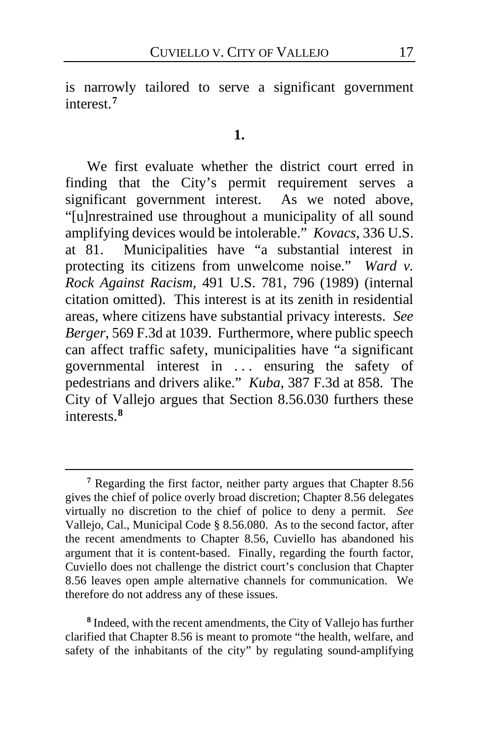is narrowly tailored to serve a significant government interest.**[7](#page-16-0)**

#### **1.**

We first evaluate whether the district court erred in finding that the City's permit requirement serves a significant government interest. As we noted above, "[u]nrestrained use throughout a municipality of all sound amplifying devices would be intolerable." *Kovacs*, 336 U.S. at 81. Municipalities have "a substantial interest in protecting its citizens from unwelcome noise." *Ward v. Rock Against Racism*, 491 U.S. 781, 796 (1989) (internal citation omitted). This interest is at its zenith in residential areas, where citizens have substantial privacy interests. *See Berger*, 569 F.3d at 1039. Furthermore, where public speech can affect traffic safety, municipalities have "a significant governmental interest in ... ensuring the safety of pedestrians and drivers alike." *Kuba*, 387 F.3d at 858. The City of Vallejo argues that Section 8.56.030 furthers these interests.**[8](#page-16-1)**

<span id="page-16-1"></span>**<sup>8</sup>** Indeed, with the recent amendments, the City of Vallejo has further clarified that Chapter 8.56 is meant to promote "the health, welfare, and safety of the inhabitants of the city" by regulating sound-amplifying

<span id="page-16-0"></span>**<sup>7</sup>** Regarding the first factor, neither party argues that Chapter 8.56 gives the chief of police overly broad discretion; Chapter 8.56 delegates virtually no discretion to the chief of police to deny a permit. *See*  Vallejo, Cal., Municipal Code § 8.56.080. As to the second factor, after the recent amendments to Chapter 8.56, Cuviello has abandoned his argument that it is content-based. Finally, regarding the fourth factor, Cuviello does not challenge the district court's conclusion that Chapter 8.56 leaves open ample alternative channels for communication.We therefore do not address any of these issues.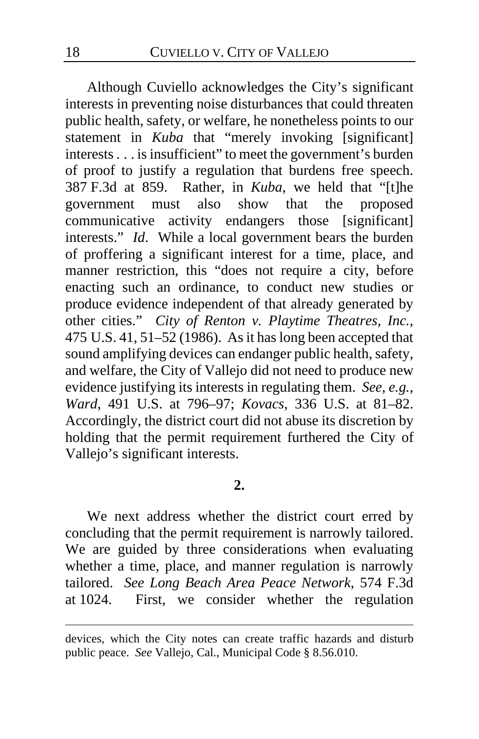Although Cuviello acknowledges the City's significant interests in preventing noise disturbances that could threaten public health, safety, or welfare, he nonetheless points to our statement in *Kuba* that "merely invoking [significant] interests . . . is insufficient" to meet the government's burden of proof to justify a regulation that burdens free speech. 387 F.3d at 859. Rather, in *Kuba*, we held that "[t]he government must also show that the proposed communicative activity endangers those [significant] communicative activity endangers those interests." *Id*. While a local government bears the burden of proffering a significant interest for a time, place, and manner restriction, this "does not require a city, before enacting such an ordinance, to conduct new studies or produce evidence independent of that already generated by other cities." *City of Renton v. Playtime Theatres, Inc.*, 475 U.S. 41, 51–52 (1986). As it has long been accepted that sound amplifying devices can endanger public health, safety, and welfare, the City of Vallejo did not need to produce new evidence justifying its interests in regulating them. *See, e.g.*, *Ward*, 491 U.S. at 796–97; *Kovacs*, 336 U.S. at 81–82. Accordingly, the district court did not abuse its discretion by holding that the permit requirement furthered the City of Vallejo's significant interests.

# **2.**

We next address whether the district court erred by concluding that the permit requirement is narrowly tailored. We are guided by three considerations when evaluating whether a time, place, and manner regulation is narrowly tailored. *See Long Beach Area Peace Network*, 574 F.3d at 1024. First, we consider whether the regulation

devices, which the City notes can create traffic hazards and disturb public peace. *See* Vallejo, Cal., Municipal Code § 8.56.010.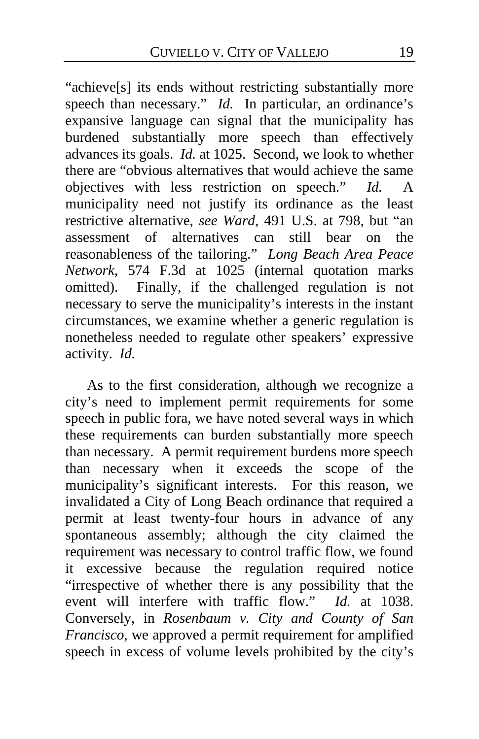"achieve[s] its ends without restricting substantially more speech than necessary." *Id.* In particular, an ordinance's expansive language can signal that the municipality has burdened substantially more speech than effectively advances its goals. *Id.* at 1025. Second, we look to whether there are "obvious alternatives that would achieve the same objectives with less restriction on speech." *Id.* A municipality need not justify its ordinance as the least restrictive alternative, *see Ward*, 491 U.S. at 798, but "an assessment of alternatives can still bear on the reasonableness of the tailoring." *Long Beach Area Peace Network*, 574 F.3d at 1025 (internal quotation marks omitted). Finally, if the challenged regulation is not necessary to serve the municipality's interests in the instant circumstances, we examine whether a generic regulation is nonetheless needed to regulate other speakers' expressive activity. *Id.*

As to the first consideration, although we recognize a city's need to implement permit requirements for some speech in public fora, we have noted several ways in which these requirements can burden substantially more speech than necessary. A permit requirement burdens more speech than necessary when it exceeds the scope of the municipality's significant interests. For this reason, we invalidated a City of Long Beach ordinance that required a permit at least twenty-four hours in advance of any spontaneous assembly; although the city claimed the requirement was necessary to control traffic flow, we found it excessive because the regulation required notice "irrespective of whether there is any possibility that the event will interfere with traffic flow." *Id.* at 1038. Conversely, in *Rosenbaum v. City and County of San Francisco*, we approved a permit requirement for amplified speech in excess of volume levels prohibited by the city's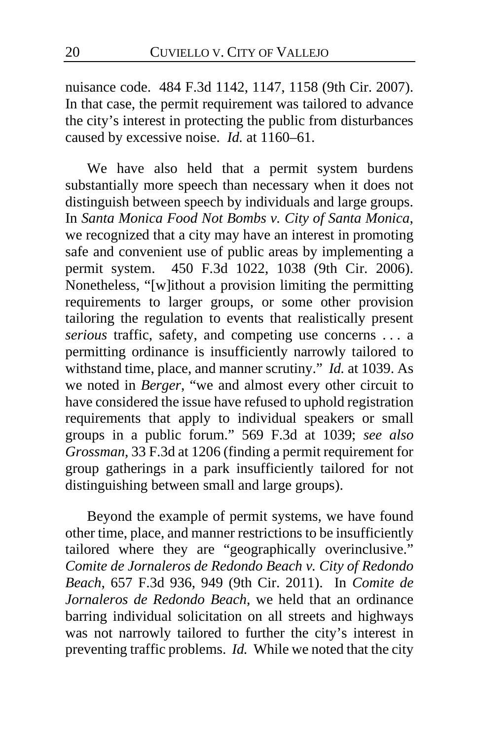nuisance code. 484 F.3d 1142, 1147, 1158 (9th Cir. 2007). In that case, the permit requirement was tailored to advance the city's interest in protecting the public from disturbances caused by excessive noise. *Id.* at 1160–61.

We have also held that a permit system burdens substantially more speech than necessary when it does not distinguish between speech by individuals and large groups. In *Santa Monica Food Not Bombs v. City of Santa Monica*, we recognized that a city may have an interest in promoting safe and convenient use of public areas by implementing a permit system. 450 F.3d 1022, 1038 (9th Cir. 2006). Nonetheless, "[w]ithout a provision limiting the permitting requirements to larger groups, or some other provision tailoring the regulation to events that realistically present *serious* traffic, safety, and competing use concerns . . . a permitting ordinance is insufficiently narrowly tailored to withstand time, place, and manner scrutiny." *Id.* at 1039. As we noted in *Berger*, "we and almost every other circuit to have considered the issue have refused to uphold registration requirements that apply to individual speakers or small groups in a public forum." 569 F.3d at 1039; *see also Grossman*, 33 F.3d at 1206 (finding a permit requirement for group gatherings in a park insufficiently tailored for not distinguishing between small and large groups).

Beyond the example of permit systems, we have found other time, place, and manner restrictions to be insufficiently tailored where they are "geographically overinclusive." *Comite de Jornaleros de Redondo Beach v. City of Redondo Beach*, 657 F.3d 936, 949 (9th Cir. 2011). In *Comite de Jornaleros de Redondo Beach*, we held that an ordinance barring individual solicitation on all streets and highways was not narrowly tailored to further the city's interest in preventing traffic problems. *Id.* While we noted that the city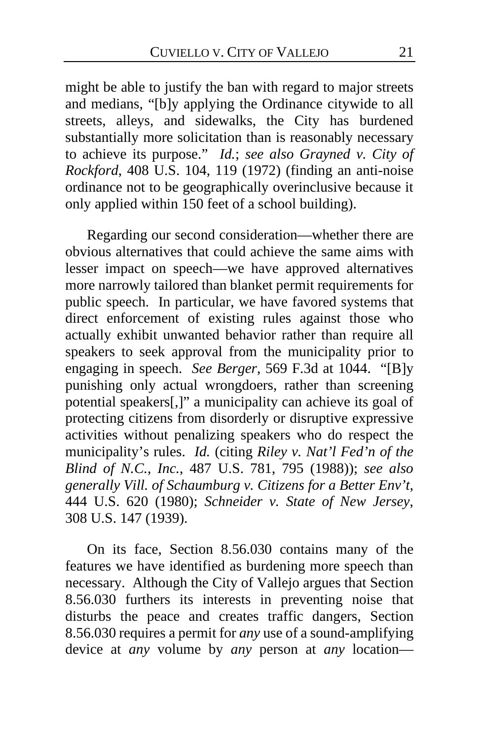might be able to justify the ban with regard to major streets and medians, "[b]y applying the Ordinance citywide to all streets, alleys, and sidewalks, the City has burdened substantially more solicitation than is reasonably necessary to achieve its purpose." *Id.*; *see also Grayned v. City of Rockford*, 408 U.S. 104, 119 (1972) (finding an anti-noise ordinance not to be geographically overinclusive because it only applied within 150 feet of a school building).

Regarding our second consideration—whether there are obvious alternatives that could achieve the same aims with lesser impact on speech—we have approved alternatives more narrowly tailored than blanket permit requirements for public speech. In particular, we have favored systems that direct enforcement of existing rules against those who actually exhibit unwanted behavior rather than require all speakers to seek approval from the municipality prior to engaging in speech. *See Berger*, 569 F.3d at 1044. "[B]y punishing only actual wrongdoers, rather than screening potential speakers[,]" a municipality can achieve its goal of protecting citizens from disorderly or disruptive expressive activities without penalizing speakers who do respect the municipality's rules. *Id.* (citing *Riley v. Nat'l Fed'n of the Blind of N.C., Inc.*, 487 U.S. 781, 795 (1988)); *see also generally Vill. of Schaumburg v. Citizens for a Better Env't*, 444 U.S. 620 (1980); *Schneider v. State of New Jersey*, 308 U.S. 147 (1939).

On its face, Section 8.56.030 contains many of the features we have identified as burdening more speech than necessary. Although the City of Vallejo argues that Section 8.56.030 furthers its interests in preventing noise that disturbs the peace and creates traffic dangers, Section 8.56.030 requires a permit for *any* use of a sound-amplifying device at *any* volume by *any* person at *any* location—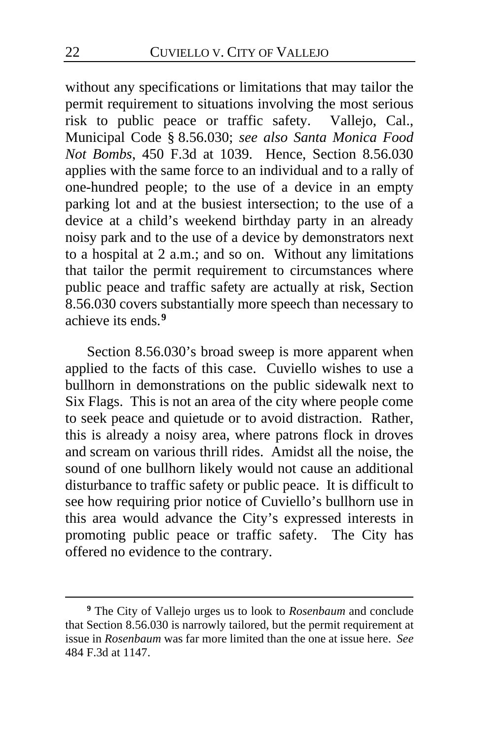without any specifications or limitations that may tailor the permit requirement to situations involving the most serious risk to public peace or traffic safety. Vallejo, Cal., Municipal Code § 8.56.030; *see also Santa Monica Food Not Bombs*, 450 F.3d at 1039. Hence, Section 8.56.030 applies with the same force to an individual and to a rally of one-hundred people; to the use of a device in an empty parking lot and at the busiest intersection; to the use of a device at a child's weekend birthday party in an already noisy park and to the use of a device by demonstrators next to a hospital at 2 a.m.; and so on. Without any limitations that tailor the permit requirement to circumstances where public peace and traffic safety are actually at risk, Section 8.56.030 covers substantially more speech than necessary to achieve its ends.**[9](#page-21-0)**

Section 8.56.030's broad sweep is more apparent when applied to the facts of this case. Cuviello wishes to use a bullhorn in demonstrations on the public sidewalk next to Six Flags.This is not an area of the city where people come to seek peace and quietude or to avoid distraction. Rather, this is already a noisy area, where patrons flock in droves and scream on various thrill rides. Amidst all the noise, the sound of one bullhorn likely would not cause an additional disturbance to traffic safety or public peace. It is difficult to see how requiring prior notice of Cuviello's bullhorn use in this area would advance the City's expressed interests in promoting public peace or traffic safety. The City has offered no evidence to the contrary.

<span id="page-21-0"></span>**<sup>9</sup>** The City of Vallejo urges us to look to *Rosenbaum* and conclude that Section 8.56.030 is narrowly tailored, but the permit requirement at issue in *Rosenbaum* was far more limited than the one at issue here. *See*  484 F.3d at 1147.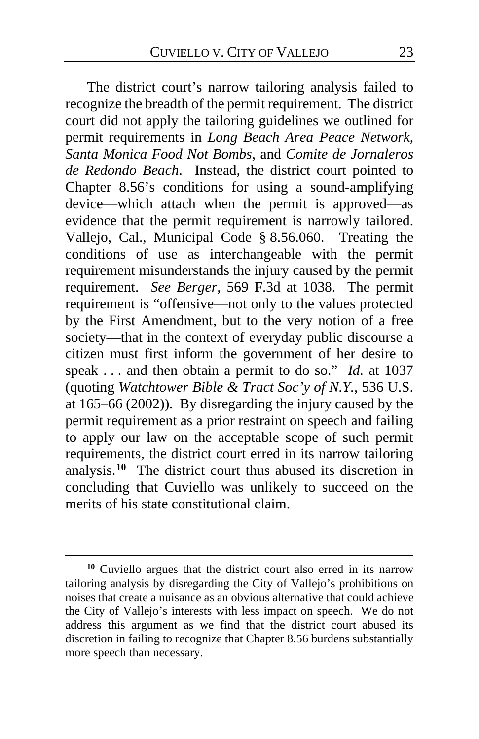The district court's narrow tailoring analysis failed to recognize the breadth of the permit requirement. The district court did not apply the tailoring guidelines we outlined for permit requirements in *Long Beach Area Peace Network*, *Santa Monica Food Not Bombs*, and *Comite de Jornaleros de Redondo Beach*. Instead, the district court pointed to Chapter 8.56's conditions for using a sound-amplifying device—which attach when the permit is approved—as evidence that the permit requirement is narrowly tailored. Vallejo, Cal., Municipal Code § 8.56.060. Treating the conditions of use as interchangeable with the permit requirement misunderstands the injury caused by the permit requirement. *See Berger*, 569 F.3d at 1038. The permit requirement is "offensive—not only to the values protected by the First Amendment, but to the very notion of a free society—that in the context of everyday public discourse a citizen must first inform the government of her desire to speak . . . and then obtain a permit to do so." *Id.* at 1037 (quoting *Watchtower Bible & Tract Soc'y of N.Y.*, 536 U.S. at 165–66 (2002)). By disregarding the injury caused by the permit requirement as a prior restraint on speech and failing to apply our law on the acceptable scope of such permit requirements, the district court erred in its narrow tailoring analysis.**[10](#page-22-0)** The district court thus abused its discretion in concluding that Cuviello was unlikely to succeed on the merits of his state constitutional claim.

<span id="page-22-0"></span>**<sup>10</sup>** Cuviello argues that the district court also erred in its narrow tailoring analysis by disregarding the City of Vallejo's prohibitions on noises that create a nuisance as an obvious alternative that could achieve the City of Vallejo's interests with less impact on speech. We do not address this argument as we find that the district court abused its discretion in failing to recognize that Chapter 8.56 burdens substantially more speech than necessary.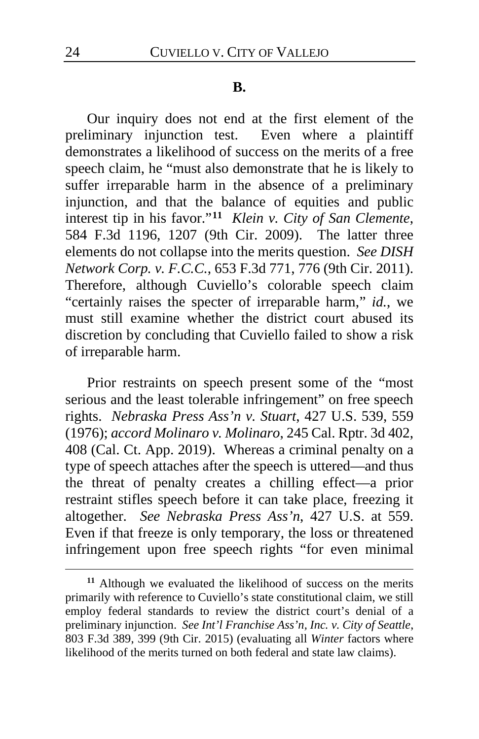#### **B.**

Our inquiry does not end at the first element of the preliminary injunction test. Even where a plaintiff demonstrates a likelihood of success on the merits of a free speech claim, he "must also demonstrate that he is likely to suffer irreparable harm in the absence of a preliminary injunction, and that the balance of equities and public interest tip in his favor."**[11](#page-23-0)** *Klein v. City of San Clemente*, 584 F.3d 1196, 1207 (9th Cir. 2009). The latter three elements do not collapse into the merits question. *See DISH Network Corp. v. F.C.C.*, 653 F.3d 771, 776 (9th Cir. 2011). Therefore, although Cuviello's colorable speech claim "certainly raises the specter of irreparable harm," *id.*, we must still examine whether the district court abused its discretion by concluding that Cuviello failed to show a risk of irreparable harm.

Prior restraints on speech present some of the "most serious and the least tolerable infringement" on free speech rights. *Nebraska Press Ass'n v. Stuart*, 427 U.S. 539, 559 (1976); *accord Molinaro v. Molinaro*, 245 Cal. Rptr. 3d 402, 408 (Cal. Ct. App. 2019). Whereas a criminal penalty on a type of speech attaches after the speech is uttered—and thus the threat of penalty creates a chilling effect—a prior restraint stifles speech before it can take place, freezing it altogether. *See Nebraska Press Ass'n*, 427 U.S. at 559. Even if that freeze is only temporary, the loss or threatened infringement upon free speech rights "for even minimal

<span id="page-23-0"></span>**<sup>11</sup>** Although we evaluated the likelihood of success on the merits primarily with reference to Cuviello's state constitutional claim, we still employ federal standards to review the district court's denial of a preliminary injunction. *See Int'l Franchise Ass'n, Inc. v. City of Seattle*, 803 F.3d 389, 399 (9th Cir. 2015) (evaluating all *Winter* factors where likelihood of the merits turned on both federal and state law claims).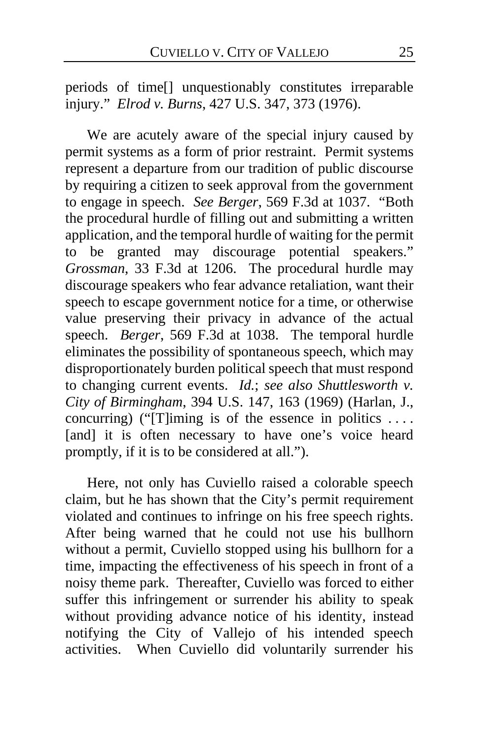periods of time[] unquestionably constitutes irreparable injury." *Elrod v. Burns*, 427 U.S. 347, 373 (1976).

We are acutely aware of the special injury caused by permit systems as a form of prior restraint. Permit systems represent a departure from our tradition of public discourse by requiring a citizen to seek approval from the government to engage in speech. *See Berger*, 569 F.3d at 1037. "Both the procedural hurdle of filling out and submitting a written application, and the temporal hurdle of waiting for the permit to be granted may discourage potential speakers." *Grossman*, 33 F.3d at 1206. The procedural hurdle may discourage speakers who fear advance retaliation, want their speech to escape government notice for a time, or otherwise value preserving their privacy in advance of the actual speech. *Berger*, 569 F.3d at 1038. The temporal hurdle eliminates the possibility of spontaneous speech, which may disproportionately burden political speech that must respond to changing current events. *Id.*; *see also Shuttlesworth v. City of Birmingham*, 394 U.S. 147, 163 (1969) (Harlan, J., concurring) (" $[T]$ iming is of the essence in politics .... [and] it is often necessary to have one's voice heard promptly, if it is to be considered at all.").

Here, not only has Cuviello raised a colorable speech claim, but he has shown that the City's permit requirement violated and continues to infringe on his free speech rights. After being warned that he could not use his bullhorn without a permit, Cuviello stopped using his bullhorn for a time, impacting the effectiveness of his speech in front of a noisy theme park. Thereafter, Cuviello was forced to either suffer this infringement or surrender his ability to speak without providing advance notice of his identity, instead notifying the City of Vallejo of his intended speech activities. When Cuviello did voluntarily surrender his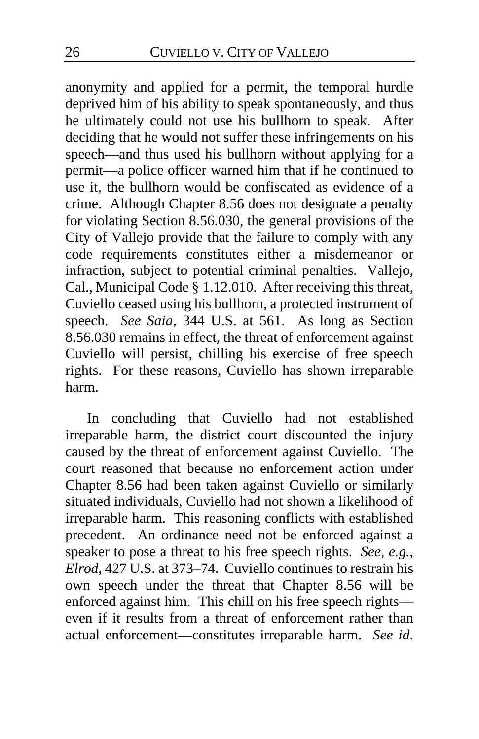anonymity and applied for a permit, the temporal hurdle deprived him of his ability to speak spontaneously, and thus he ultimately could not use his bullhorn to speak. After deciding that he would not suffer these infringements on his speech—and thus used his bullhorn without applying for a permit—a police officer warned him that if he continued to use it, the bullhorn would be confiscated as evidence of a crime. Although Chapter 8.56 does not designate a penalty for violating Section 8.56.030, the general provisions of the City of Vallejo provide that the failure to comply with any code requirements constitutes either a misdemeanor or infraction, subject to potential criminal penalties. Vallejo, Cal., Municipal Code § 1.12.010. After receiving this threat, Cuviello ceased using his bullhorn, a protected instrument of speech. *See Saia*, 344 U.S. at 561. As long as Section 8.56.030 remains in effect, the threat of enforcement against Cuviello will persist, chilling his exercise of free speech rights. For these reasons, Cuviello has shown irreparable harm.

In concluding that Cuviello had not established irreparable harm, the district court discounted the injury caused by the threat of enforcement against Cuviello. The court reasoned that because no enforcement action under Chapter 8.56 had been taken against Cuviello or similarly situated individuals, Cuviello had not shown a likelihood of irreparable harm.This reasoning conflicts with established precedent. An ordinance need not be enforced against a speaker to pose a threat to his free speech rights. *See, e.g.*, *Elrod*, 427 U.S. at 373–74. Cuviello continues to restrain his own speech under the threat that Chapter 8.56 will be enforced against him. This chill on his free speech rights even if it results from a threat of enforcement rather than actual enforcement—constitutes irreparable harm. *See id*.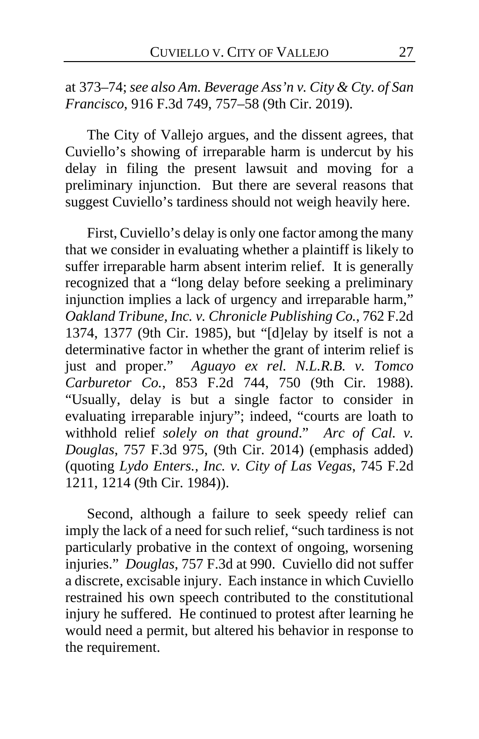# at 373–74; *see also Am. Beverage Ass'n v. City & Cty. of San Francisco*, 916 F.3d 749, 757–58 (9th Cir. 2019).

The City of Vallejo argues, and the dissent agrees, that Cuviello's showing of irreparable harm is undercut by his delay in filing the present lawsuit and moving for a preliminary injunction. But there are several reasons that suggest Cuviello's tardiness should not weigh heavily here.

First, Cuviello's delay is only one factor among the many that we consider in evaluating whether a plaintiff is likely to suffer irreparable harm absent interim relief. It is generally recognized that a "long delay before seeking a preliminary injunction implies a lack of urgency and irreparable harm," *Oakland Tribune, Inc. v. Chronicle Publishing Co.*, 762 F.2d 1374, 1377 (9th Cir. 1985), but "[d]elay by itself is not a determinative factor in whether the grant of interim relief is just and proper." *Aguayo ex rel. N.L.R.B. v. Tomco Carburetor Co.*, 853 F.2d 744, 750 (9th Cir. 1988). "Usually, delay is but a single factor to consider in evaluating irreparable injury"; indeed, "courts are loath to withhold relief *solely on that ground*." *Arc of Cal. v. Douglas*, 757 F.3d 975, (9th Cir. 2014) (emphasis added) (quoting *Lydo Enters., Inc. v. City of Las Vegas*, 745 F.2d 1211, 1214 (9th Cir. 1984)).

Second, although a failure to seek speedy relief can imply the lack of a need for such relief, "such tardiness is not particularly probative in the context of ongoing, worsening injuries." *Douglas*, 757 F.3d at 990. Cuviello did not suffer a discrete, excisable injury. Each instance in which Cuviello restrained his own speech contributed to the constitutional injury he suffered. He continued to protest after learning he would need a permit, but altered his behavior in response to the requirement.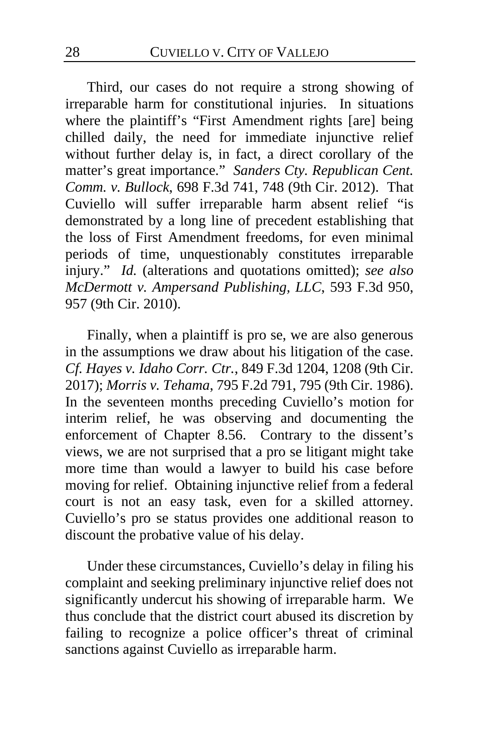Third, our cases do not require a strong showing of irreparable harm for constitutional injuries. In situations where the plaintiff's "First Amendment rights [are] being chilled daily, the need for immediate injunctive relief without further delay is, in fact, a direct corollary of the matter's great importance." *Sanders Cty. Republican Cent. Comm. v. Bullock*, 698 F.3d 741, 748 (9th Cir. 2012). That Cuviello will suffer irreparable harm absent relief "is demonstrated by a long line of precedent establishing that the loss of First Amendment freedoms, for even minimal periods of time, unquestionably constitutes irreparable injury." *Id.* (alterations and quotations omitted); *see also McDermott v. Ampersand Publishing, LLC*, 593 F.3d 950, 957 (9th Cir. 2010).

Finally, when a plaintiff is pro se, we are also generous in the assumptions we draw about his litigation of the case. *Cf. Hayes v. Idaho Corr. Ctr.*, 849 F.3d 1204, 1208 (9th Cir. 2017); *Morris v. Tehama*, 795 F.2d 791, 795 (9th Cir. 1986). In the seventeen months preceding Cuviello's motion for interim relief, he was observing and documenting the enforcement of Chapter 8.56. Contrary to the dissent's views, we are not surprised that a pro se litigant might take more time than would a lawyer to build his case before moving for relief. Obtaining injunctive relief from a federal court is not an easy task, even for a skilled attorney. Cuviello's pro se status provides one additional reason to discount the probative value of his delay.

Under these circumstances, Cuviello's delay in filing his complaint and seeking preliminary injunctive relief does not significantly undercut his showing of irreparable harm. We thus conclude that the district court abused its discretion by failing to recognize a police officer's threat of criminal sanctions against Cuviello as irreparable harm.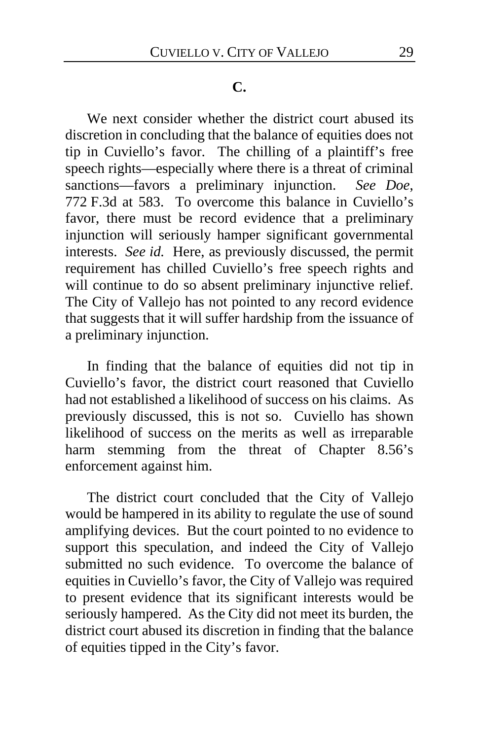#### **C.**

We next consider whether the district court abused its discretion in concluding that the balance of equities does not tip in Cuviello's favor. The chilling of a plaintiff's free speech rights—especially where there is a threat of criminal sanctions—favors a preliminary injunction. *See Doe*, 772 F.3d at 583. To overcome this balance in Cuviello's favor, there must be record evidence that a preliminary injunction will seriously hamper significant governmental interests. *See id.* Here, as previously discussed, the permit requirement has chilled Cuviello's free speech rights and will continue to do so absent preliminary injunctive relief. The City of Vallejo has not pointed to any record evidence that suggests that it will suffer hardship from the issuance of a preliminary injunction.

In finding that the balance of equities did not tip in Cuviello's favor, the district court reasoned that Cuviello had not established a likelihood of success on his claims. As previously discussed, this is not so. Cuviello has shown likelihood of success on the merits as well as irreparable harm stemming from the threat of Chapter 8.56's enforcement against him.

The district court concluded that the City of Vallejo would be hampered in its ability to regulate the use of sound amplifying devices. But the court pointed to no evidence to support this speculation, and indeed the City of Vallejo submitted no such evidence. To overcome the balance of equities in Cuviello's favor, the City of Vallejo was required to present evidence that its significant interests would be seriously hampered. As the City did not meet its burden, the district court abused its discretion in finding that the balance of equities tipped in the City's favor.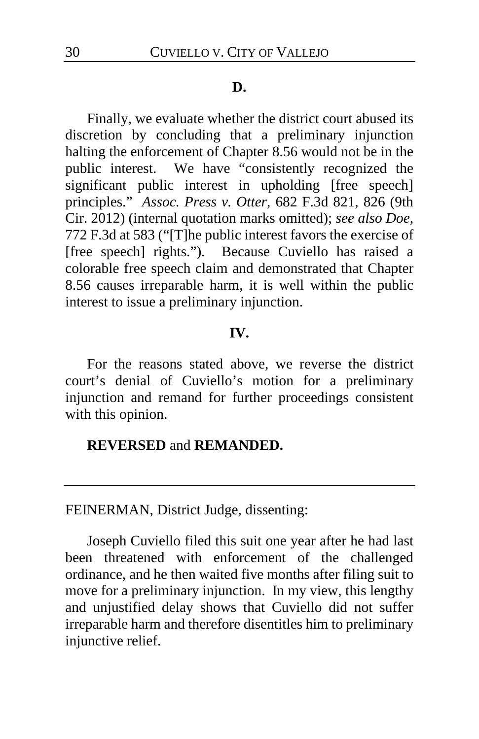#### **D.**

Finally, we evaluate whether the district court abused its discretion by concluding that a preliminary injunction halting the enforcement of Chapter 8.56 would not be in the public interest. We have "consistently recognized the significant public interest in upholding [free speech] principles." *Assoc. Press v. Otter*, 682 F.3d 821, 826 (9th Cir. 2012) (internal quotation marks omitted); *see also Doe*, 772 F.3d at 583 ("[T]he public interest favors the exercise of [free speech] rights."). Because Cuviello has raised a colorable free speech claim and demonstrated that Chapter 8.56 causes irreparable harm, it is well within the public interest to issue a preliminary injunction.

# **IV.**

For the reasons stated above, we reverse the district court's denial of Cuviello's motion for a preliminary injunction and remand for further proceedings consistent with this opinion.

# **REVERSED** and **REMANDED.**

FEINERMAN, District Judge, dissenting:

Joseph Cuviello filed this suit one year after he had last been threatened with enforcement of the challenged ordinance, and he then waited five months after filing suit to move for a preliminary injunction. In my view, this lengthy and unjustified delay shows that Cuviello did not suffer irreparable harm and therefore disentitles him to preliminary injunctive relief.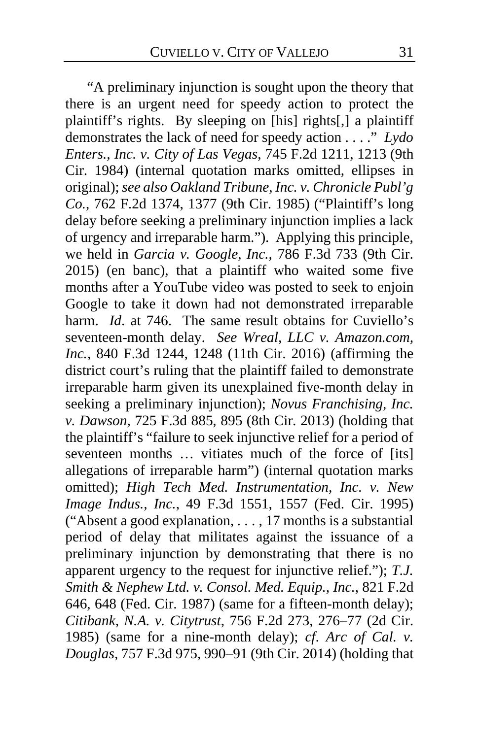"A preliminary injunction is sought upon the theory that there is an urgent need for speedy action to protect the plaintiff's rights. By sleeping on [his] rights[,] a plaintiff demonstrates the lack of need for speedy action . . . ." *Lydo Enters., Inc. v. City of Las Vegas*, 745 F.2d 1211, 1213 (9th Cir. 1984) (internal quotation marks omitted, ellipses in original); *see also Oakland Tribune, Inc. v. Chronicle Publ'g Co.*, 762 F.2d 1374, 1377 (9th Cir. 1985) ("Plaintiff's long delay before seeking a preliminary injunction implies a lack of urgency and irreparable harm."). Applying this principle, we held in *Garcia v. Google, Inc.*, 786 F.3d 733 (9th Cir. 2015) (en banc), that a plaintiff who waited some five months after a YouTube video was posted to seek to enjoin Google to take it down had not demonstrated irreparable harm. *Id.* at 746. The same result obtains for Cuviello's seventeen-month delay. *See Wreal, LLC v. Amazon.com, Inc.*, 840 F.3d 1244, 1248 (11th Cir. 2016) (affirming the district court's ruling that the plaintiff failed to demonstrate irreparable harm given its unexplained five-month delay in seeking a preliminary injunction); *Novus Franchising, Inc. v. Dawson*, 725 F.3d 885, 895 (8th Cir. 2013) (holding that the plaintiff's "failure to seek injunctive relief for a period of seventeen months ... vitiates much of the force of [its] allegations of irreparable harm") (internal quotation marks omitted); *High Tech Med. Instrumentation, Inc. v. New Image Indus., Inc.*, 49 F.3d 1551, 1557 (Fed. Cir. 1995) ("Absent a good explanation, . . . , 17 months is a substantial period of delay that militates against the issuance of a preliminary injunction by demonstrating that there is no apparent urgency to the request for injunctive relief."); *T.J. Smith & Nephew Ltd. v. Consol. Med. Equip., Inc.*, 821 F.2d 646, 648 (Fed. Cir. 1987) (same for a fifteen-month delay); *Citibank, N.A. v. Citytrust*, 756 F.2d 273, 276–77 (2d Cir. 1985) (same for a nine-month delay); *cf*. *Arc of Cal. v. Douglas*, 757 F.3d 975, 990–91 (9th Cir. 2014) (holding that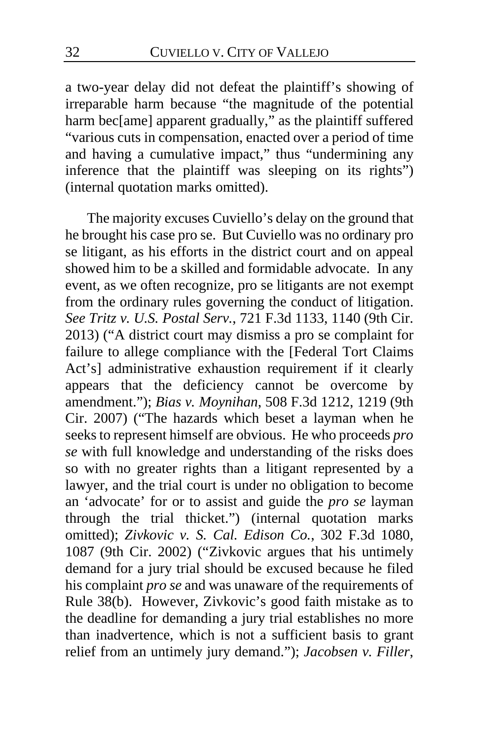a two-year delay did not defeat the plaintiff's showing of irreparable harm because "the magnitude of the potential harm bec[ame] apparent gradually," as the plaintiff suffered "various cuts in compensation, enacted over a period of time and having a cumulative impact," thus "undermining any inference that the plaintiff was sleeping on its rights") (internal quotation marks omitted).

The majority excuses Cuviello's delay on the ground that he brought his case pro se. But Cuviello was no ordinary pro se litigant, as his efforts in the district court and on appeal showed him to be a skilled and formidable advocate. In any event, as we often recognize, pro se litigants are not exempt from the ordinary rules governing the conduct of litigation. *See Tritz v. U.S. Postal Serv.*, 721 F.3d 1133, 1140 (9th Cir. 2013) ("A district court may dismiss a pro se complaint for failure to allege compliance with the [Federal Tort Claims Act's] administrative exhaustion requirement if it clearly appears that the deficiency cannot be overcome by amendment."); *Bias v. Moynihan*, 508 F.3d 1212, 1219 (9th Cir. 2007) ("The hazards which beset a layman when he seeks to represent himself are obvious. He who proceeds *pro se* with full knowledge and understanding of the risks does so with no greater rights than a litigant represented by a lawyer, and the trial court is under no obligation to become an 'advocate' for or to assist and guide the *pro se* layman through the trial thicket.") (internal quotation marks omitted); *Zivkovic v. S. Cal. Edison Co.*, 302 F.3d 1080, 1087 (9th Cir. 2002) ("Zivkovic argues that his untimely demand for a jury trial should be excused because he filed his complaint *pro se* and was unaware of the requirements of Rule 38(b). However, Zivkovic's good faith mistake as to the deadline for demanding a jury trial establishes no more than inadvertence, which is not a sufficient basis to grant relief from an untimely jury demand."); *Jacobsen v. Filler*,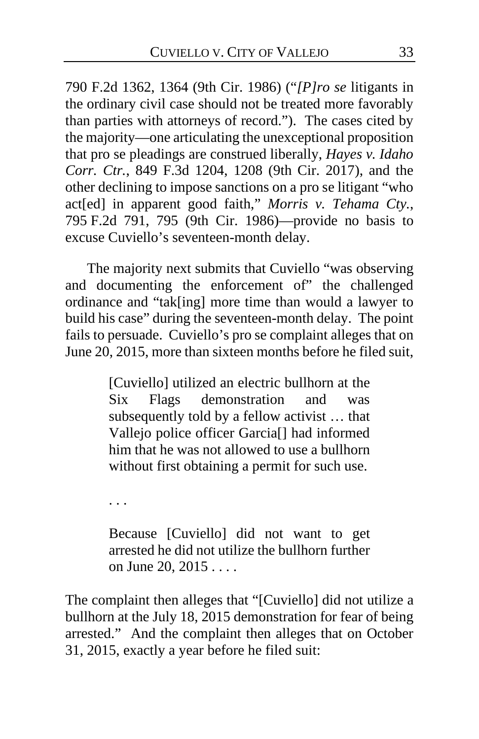790 F.2d 1362, 1364 (9th Cir. 1986) ("*[P]ro se* litigants in the ordinary civil case should not be treated more favorably than parties with attorneys of record."). The cases cited by the majority—one articulating the unexceptional proposition that pro se pleadings are construed liberally, *Hayes v. Idaho Corr. Ctr.*, 849 F.3d 1204, 1208 (9th Cir. 2017), and the other declining to impose sanctions on a pro se litigant "who act[ed] in apparent good faith," *Morris v. Tehama Cty.*, 795 F.2d 791, 795 (9th Cir. 1986)—provide no basis to excuse Cuviello's seventeen-month delay.

The majority next submits that Cuviello "was observing and documenting the enforcement of" the challenged ordinance and "tak[ing] more time than would a lawyer to build his case" during the seventeen-month delay. The point fails to persuade. Cuviello's pro se complaint alleges that on June 20, 2015, more than sixteen months before he filed suit,

> [Cuviello] utilized an electric bullhorn at the Six Flags demonstration and was subsequently told by a fellow activist … that Vallejo police officer Garcia[] had informed him that he was not allowed to use a bullhorn without first obtaining a permit for such use.

. . .

Because [Cuviello] did not want to get arrested he did not utilize the bullhorn further on June 20, 2015 . . . .

The complaint then alleges that "[Cuviello] did not utilize a bullhorn at the July 18, 2015 demonstration for fear of being arrested." And the complaint then alleges that on October 31, 2015, exactly a year before he filed suit: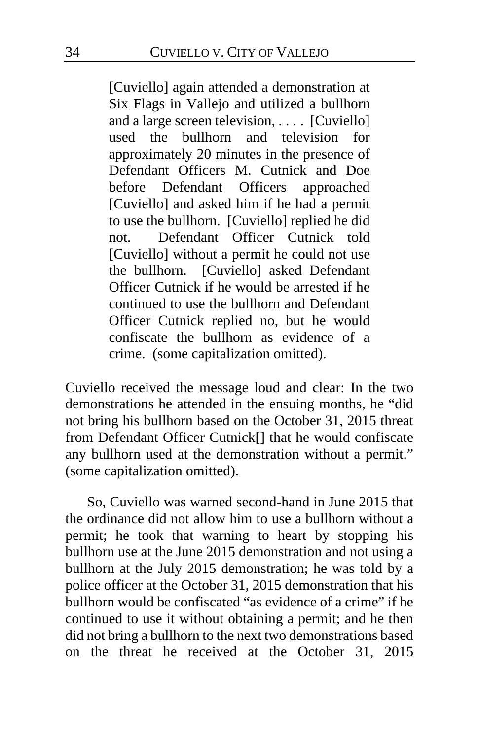[Cuviello] again attended a demonstration at Six Flags in Vallejo and utilized a bullhorn and a large screen television, . . . . [Cuviello] used the bullhorn and television for approximately 20 minutes in the presence of Defendant Officers M. Cutnick and Doe before Defendant Officers approached [Cuviello] and asked him if he had a permit to use the bullhorn. [Cuviello] replied he did not. Defendant Officer Cutnick told [Cuviello] without a permit he could not use the bullhorn. [Cuviello] asked Defendant Officer Cutnick if he would be arrested if he continued to use the bullhorn and Defendant Officer Cutnick replied no, but he would confiscate the bullhorn as evidence of a crime. (some capitalization omitted).

Cuviello received the message loud and clear: In the two demonstrations he attended in the ensuing months, he "did not bring his bullhorn based on the October 31, 2015 threat from Defendant Officer Cutnick[] that he would confiscate any bullhorn used at the demonstration without a permit." (some capitalization omitted).

So, Cuviello was warned second-hand in June 2015 that the ordinance did not allow him to use a bullhorn without a permit; he took that warning to heart by stopping his bullhorn use at the June 2015 demonstration and not using a bullhorn at the July 2015 demonstration; he was told by a police officer at the October 31, 2015 demonstration that his bullhorn would be confiscated "as evidence of a crime" if he continued to use it without obtaining a permit; and he then did not bring a bullhorn to the next two demonstrations based on the threat he received at the October 31, 2015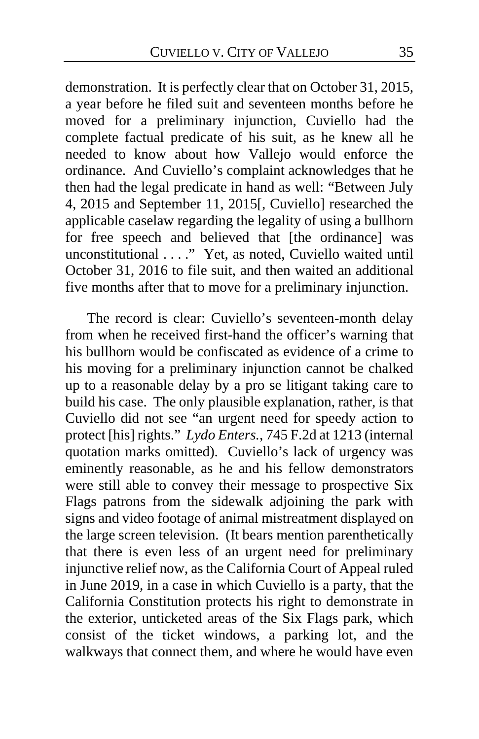demonstration. It is perfectly clear that on October 31, 2015, a year before he filed suit and seventeen months before he moved for a preliminary injunction, Cuviello had the complete factual predicate of his suit, as he knew all he needed to know about how Vallejo would enforce the ordinance. And Cuviello's complaint acknowledges that he then had the legal predicate in hand as well: "Between July 4, 2015 and September 11, 2015[, Cuviello] researched the applicable caselaw regarding the legality of using a bullhorn for free speech and believed that [the ordinance] was unconstitutional . . . ." Yet, as noted, Cuviello waited until October 31, 2016 to file suit, and then waited an additional five months after that to move for a preliminary injunction.

The record is clear: Cuviello's seventeen-month delay from when he received first-hand the officer's warning that his bullhorn would be confiscated as evidence of a crime to his moving for a preliminary injunction cannot be chalked up to a reasonable delay by a pro se litigant taking care to build his case. The only plausible explanation, rather, is that Cuviello did not see "an urgent need for speedy action to protect [his] rights." *Lydo Enters.*, 745 F.2d at 1213 (internal quotation marks omitted). Cuviello's lack of urgency was eminently reasonable, as he and his fellow demonstrators were still able to convey their message to prospective Six Flags patrons from the sidewalk adjoining the park with signs and video footage of animal mistreatment displayed on the large screen television. (It bears mention parenthetically that there is even less of an urgent need for preliminary injunctive relief now, as the California Court of Appeal ruled in June 2019, in a case in which Cuviello is a party, that the California Constitution protects his right to demonstrate in the exterior, unticketed areas of the Six Flags park, which consist of the ticket windows, a parking lot, and the walkways that connect them, and where he would have even